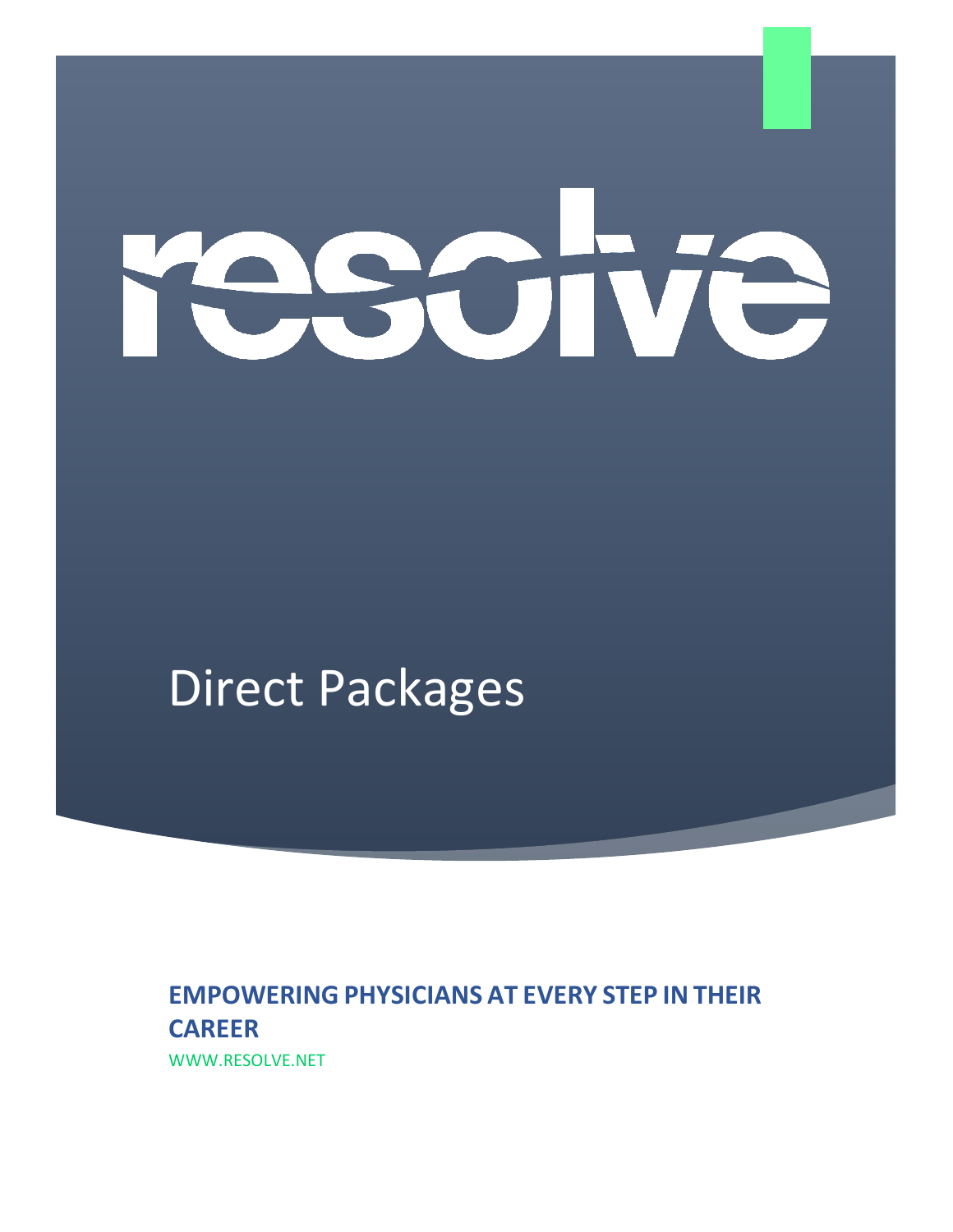# **ROT**

# Direct Packages

# **EMPOWERING PHYSICIANS AT EVERY STEP IN THEIR CAREER**

WWW.RESOLVE.NET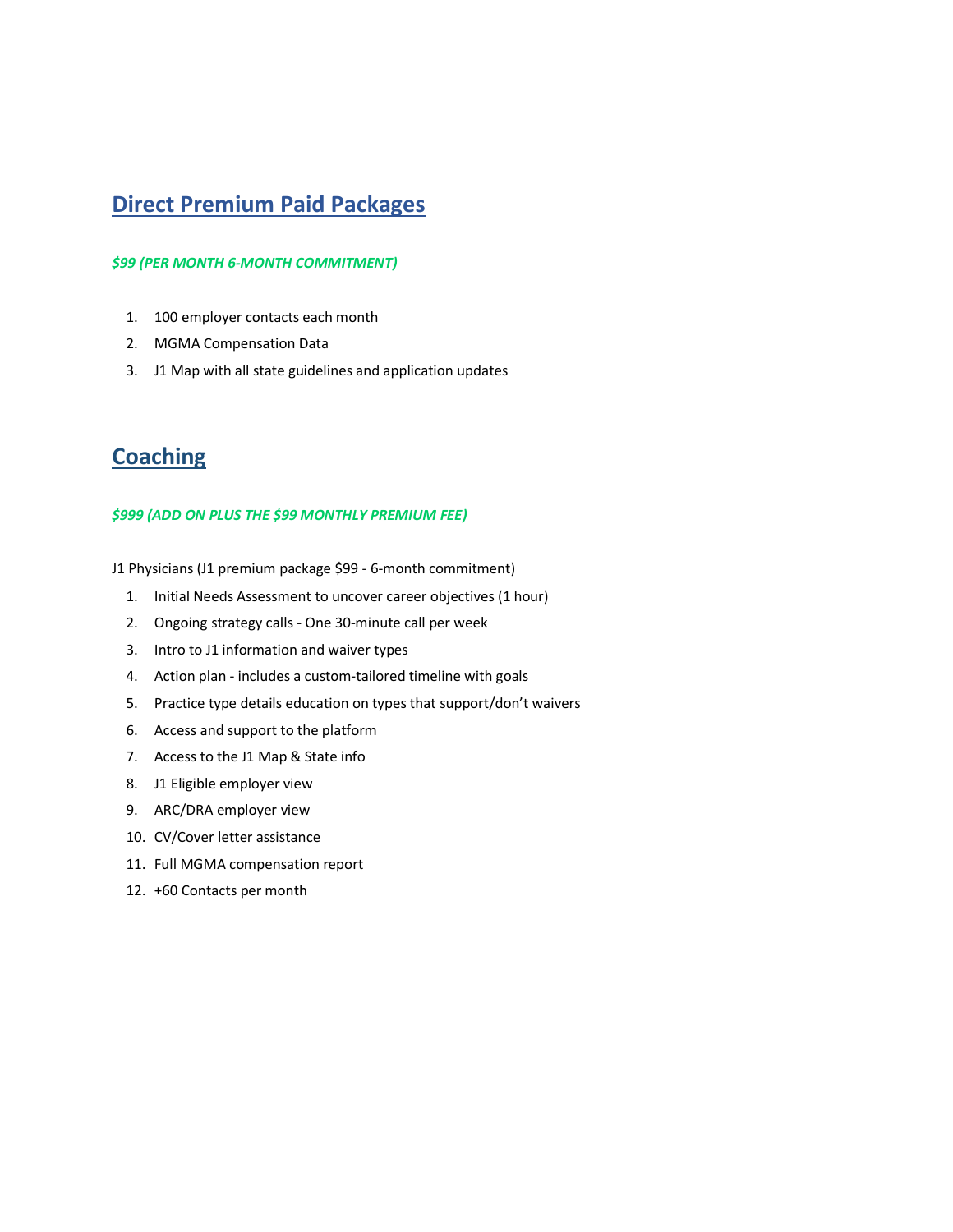### **Direct Premium Paid Packages**

#### *\$99 (PER MONTH 6-MONTH COMMITMENT)*

- 1. 100 employer contacts each month
- 2. MGMA Compensation Data
- 3. J1 Map with all state guidelines and application updates

## **Coaching**

#### *\$999 (ADD ON PLUS THE \$99 MONTHLY PREMIUM FEE)*

J1 Physicians (J1 premium package \$99 - 6-month commitment)

- 1. Initial Needs Assessment to uncover career objectives (1 hour)
- 2. Ongoing strategy calls One 30-minute call per week
- 3. Intro to J1 information and waiver types
- 4. Action plan includes a custom-tailored timeline with goals
- 5. Practice type details education on types that support/don't waivers
- 6. Access and support to the platform
- 7. Access to the J1 Map & State info
- 8. J1 Eligible employer view
- 9. ARC/DRA employer view
- 10. CV/Cover letter assistance
- 11. Full MGMA compensation report
- 12. +60 Contacts per month